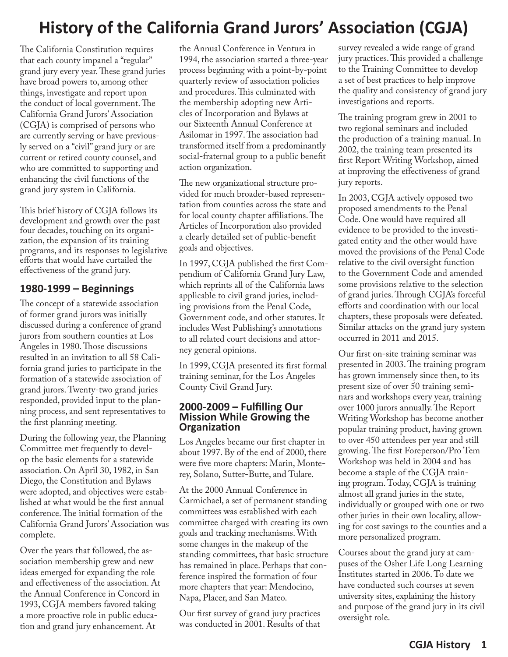# **History of the California Grand Jurors' Association (CGJA)**

The California Constitution requires that each county impanel a "regular" grand jury every year. These grand juries have broad powers to, among other things, investigate and report upon the conduct of local government. The California Grand Jurors' Association (CGJA) is comprised of persons who are currently serving or have previously served on a "civil" grand jury or are current or retired county counsel, and who are committed to supporting and enhancing the civil functions of the grand jury system in California.

This brief history of CGJA follows its development and growth over the past four decades, touching on its organization, the expansion of its training programs, and its responses to legislative efforts that would have curtailed the effectiveness of the grand jury.

# **1980-1999 – Beginnings**

The concept of a statewide association of former grand jurors was initially discussed during a conference of grand jurors from southern counties at Los Angeles in 1980. Those discussions resulted in an invitation to all 58 California grand juries to participate in the formation of a statewide association of grand jurors. Twenty-two grand juries responded, provided input to the planning process, and sent representatives to the first planning meeting.

During the following year, the Planning Committee met frequently to develop the basic elements for a statewide association. On April 30, 1982, in San Diego, the Constitution and Bylaws were adopted, and objectives were established at what would be the first annual conference. The initial formation of the California Grand Jurors' Association was complete.

Over the years that followed, the association membership grew and new ideas emerged for expanding the role and effectiveness of the association. At the Annual Conference in Concord in 1993, CGJA members favored taking a more proactive role in public education and grand jury enhancement. At

the Annual Conference in Ventura in 1994, the association started a three-year process beginning with a point-by-point quarterly review of association policies and procedures. This culminated with the membership adopting new Articles of Incorporation and Bylaws at our Sixteenth Annual Conference at Asilomar in 1997. The association had transformed itself from a predominantly social-fraternal group to a public benefit action organization.

The new organizational structure provided for much broader-based representation from counties across the state and for local county chapter affiliations. The Articles of Incorporation also provided a clearly detailed set of public-benefit goals and objectives.

In 1997, CGJA published the first Compendium of California Grand Jury Law, which reprints all of the California laws applicable to civil grand juries, including provisions from the Penal Code, Government code, and other statutes. It includes West Publishing's annotations to all related court decisions and attorney general opinions.

In 1999, CGJA presented its first formal training seminar, for the Los Angeles County Civil Grand Jury.

#### **2000-2009 – Fulfilling Our Mission While Growing the Organization**

Los Angeles became our first chapter in about 1997. By of the end of 2000, there were five more chapters: Marin, Monterey, Solano, Sutter-Butte, and Tulare.

At the 2000 Annual Conference in Carmichael, a set of permanent standing committees was established with each committee charged with creating its own goals and tracking mechanisms. With some changes in the makeup of the standing committees, that basic structure has remained in place. Perhaps that conference inspired the formation of four more chapters that year: Mendocino, Napa, Placer, and San Mateo.

Our first survey of grand jury practices was conducted in 2001. Results of that

survey revealed a wide range of grand jury practices. This provided a challenge to the Training Committee to develop a set of best practices to help improve the quality and consistency of grand jury investigations and reports.

The training program grew in 2001 to two regional seminars and included the production of a training manual. In 2002, the training team presented its first Report Writing Workshop, aimed at improving the effectiveness of grand jury reports.

In 2003, CGJA actively opposed two proposed amendments to the Penal Code. One would have required all evidence to be provided to the investigated entity and the other would have moved the provisions of the Penal Code relative to the civil oversight function to the Government Code and amended some provisions relative to the selection of grand juries. Through CGJA's forceful efforts and coordination with our local chapters, these proposals were defeated. Similar attacks on the grand jury system occurred in 2011 and 2015.

Our first on-site training seminar was presented in 2003. The training program has grown immensely since then, to its present size of over 50 training seminars and workshops every year, training over 1000 jurors annually. The Report Writing Workshop has become another popular training product, having grown to over 450 attendees per year and still growing. The first Foreperson/Pro Tem Workshop was held in 2004 and has become a staple of the CGJA training program. Today, CGJA is training almost all grand juries in the state, individually or grouped with one or two other juries in their own locality, allowing for cost savings to the counties and a more personalized program.

Courses about the grand jury at campuses of the Osher Life Long Learning Institutes started in 2006. To date we have conducted such courses at seven university sites, explaining the history and purpose of the grand jury in its civil oversight role.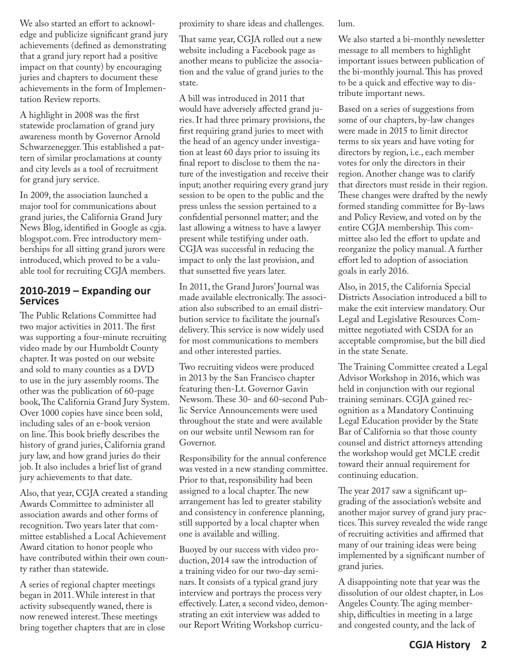We also started an effort to acknowledge and publicize significant grand jury achievements (defined as demonstrating that a grand jury report had a positive impact on that county) by encouraging juries and chapters to document these achievements in the form of Implementation Review reports.

A highlight in 2008 was the first statewide proclamation of grand jury awareness month by Governor Arnold Schwarzenegger. This established a pattern of similar proclamations at county and city levels as a tool of recruitment for grand jury service.

In 2009, the association launched a major tool for communications about grand juries, the California Grand Jury News Blog, identified in Google as cgja. blogspot.com. Free introductory memberships for all sitting grand jurors were introduced, which proved to be a valuable tool for recruiting CGJA members.

### **2010-2019 – Expanding our Services**

The Public Relations Committee had two major activities in 2011. The first was supporting a four-minute recruiting video made by our Humboldt County chapter. It was posted on our website and sold to many counties as a DVD to use in the jury assembly rooms. The other was the publication of 60-page book, The California Grand Jury System. Over 1000 copies have since been sold, including sales of an e-book version on line. This book briefly describes the history of grand juries, California grand jury law, and how grand juries do their job. It also includes a brief list of grand jury achievements to that date.

Also, that year, CGJA created a standing Awards Committee to administer all association awards and other forms of recognition. Two years later that committee established a Local Achievement Award citation to honor people who have contributed within their own county rather than statewide.

A series of regional chapter meetings began in 2011. While interest in that activity subsequently waned, there is now renewed interest. These meetings bring together chapters that are in close proximity to share ideas and challenges.

That same year, CGJA rolled out a new website including a Facebook page as another means to publicize the association and the value of grand juries to the state.

A bill was introduced in 2011 that would have adversely affected grand juries. It had three primary provisions, the first requiring grand juries to meet with the head of an agency under investigation at least 60 days prior to issuing its final report to disclose to them the nature of the investigation and receive their input; another requiring every grand jury session to be open to the public and the press unless the session pertained to a confidential personnel matter; and the last allowing a witness to have a lawyer present while testifying under oath. CGJA was successful in reducing the impact to only the last provision, and that sunsetted five years later.

In 2011, the Grand Jurors' Journal was made available electronically. The association also subscribed to an email distribution service to facilitate the journal's delivery. This service is now widely used for most communications to members and other interested parties.

Two recruiting videos were produced in 2013 by the San Francisco chapter featuring then-Lt. Governor Gavin Newsom. These 30- and 60-second Public Service Announcements were used throughout the state and were available on our website until Newsom ran for Governor.

Responsibility for the annual conference was vested in a new standing committee. Prior to that, responsibility had been assigned to a local chapter. The new arrangement has led to greater stability and consistency in conference planning, still supported by a local chapter when one is available and willing.

Buoyed by our success with video production, 2014 saw the introduction of a training video for our two-day seminars. It consists of a typical grand jury interview and portrays the process very effectively. Later, a second video, demonstrating an exit interview was added to our Report Writing Workshop curriculum.

We also started a bi-monthly newsletter message to all members to highlight important issues between publication of the bi-monthly journal. This has proved to be a quick and effective way to distribute important news.

Based on a series of suggestions from some of our chapters, by-law changes were made in 2015 to limit director terms to six years and have voting for directors by region, i.e., each member votes for only the directors in their region. Another change was to clarify that directors must reside in their region. These changes were drafted by the newly formed standing committee for By-laws and Policy Review, and voted on by the entire CGJA membership. This committee also led the effort to update and reorganize the policy manual. A further effort led to adoption of association goals in early 2016.

Also, in 2015, the California Special Districts Association introduced a bill to make the exit interview mandatory. Our Legal and Legislative Resources Committee negotiated with CSDA for an acceptable compromise, but the bill died in the state Senate.

The Training Committee created a Legal Advisor Workshop in 2016, which was held in conjunction with our regional training seminars. CGJA gained recognition as a Mandatory Continuing Legal Education provider by the State Bar of California so that those county counsel and district attorneys attending the workshop would get MCLE credit toward their annual requirement for continuing education.

The year 2017 saw a significant upgrading of the association's website and another major survey of grand jury practices. This survey revealed the wide range of recruiting activities and affirmed that many of our training ideas were being implemented by a significant number of grand juries.

A disappointing note that year was the dissolution of our oldest chapter, in Los Angeles County. The aging membership, difficulties in meeting in a large and congested county, and the lack of